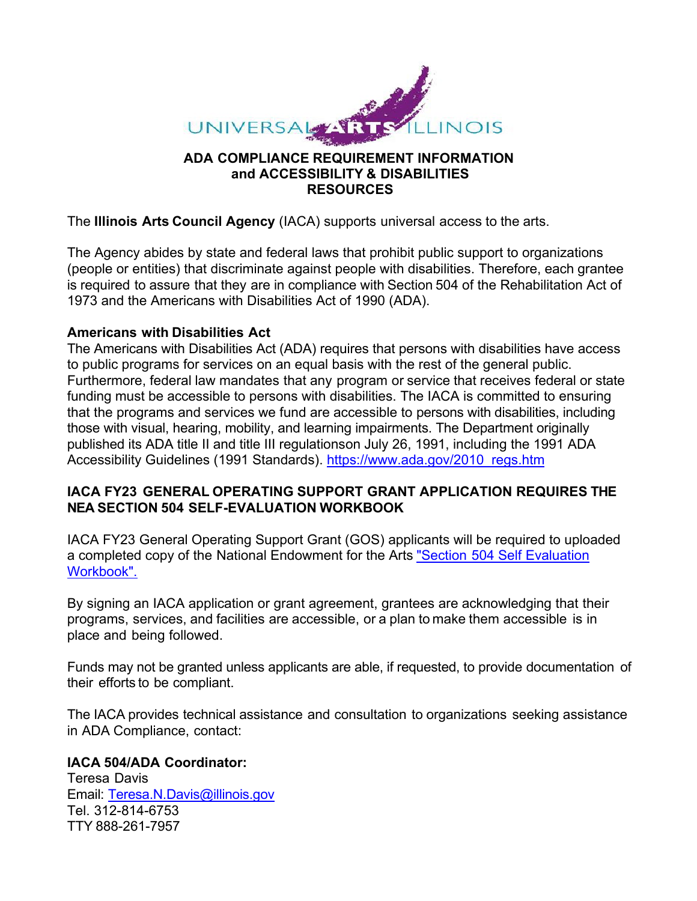

### **ADA COMPLIANCE REQUIREMENT INFORMATION and ACCESSIBILITY & DISABILITIES RESOURCES**

The **Illinois Arts Council Agency** (IACA) supports universal access to the arts.

The Agency abides by state and federal laws that prohibit public support to organizations (people or entities) that discriminate against people with disabilities. Therefore, each grantee is required to assure that they are in compliance with Section 504 of the Rehabilitation Act of 1973 and the Americans with Disabilities Act of 1990 (ADA).

### **Americans with Disabilities Act**

The Americans with Disabilities Act (ADA) requires that persons with disabilities have access to public programs for services on an equal basis with the rest of the general public. Furthermore, federal law mandates that any program or service that receives federal or state funding must be accessible to persons with disabilities. The IACA is committed to ensuring that the programs and services we fund are accessible to persons with disabilities, including those with visual, hearing, mobility, and learning impairments. The Department originally published its ADA title II and title III regulationson July 26, 1991, including the 1991 ADA Accessibility Guidelines (1991 Standards). [https://www.ada.gov/2010\\_regs.htm](https://www.ada.gov/2010_regs.htm)

## **IACA FY23 GENERAL OPERATING SUPPORT GRANT APPLICATION REQUIRES THE NEA SECTION 504 SELF-EVALUATION WORKBOOK**

IACA FY23 General Operating Support Grant (GOS) applicants will be required to uploaded a completed copy of the National Endowment for the Arts "Section 504 Self [Evaluation](https://www.arts.gov/sites/default/files/SECTION504Workbook.pdf) [Workbook".](https://www.arts.gov/sites/default/files/SECTION504Workbook.pdf)

By signing an IACA application or grant agreement, grantees are acknowledging that their programs, services, and facilities are accessible, or a plan to make them accessible is in place and being followed.

Funds may not be granted unless applicants are able, if requested, to provide documentation of their efforts to be compliant.

The IACA provides technical assistance and consultation to organizations seeking assistance in ADA Compliance, contact:

## **IACA 504/ADA Coordinator:**

Teresa Davis Email: [Teresa.N.Davis@illinois.gov](mailto:Teresa.N.Davis@illinois.gov) Tel. 312-814-6753 TTY 888-261-7957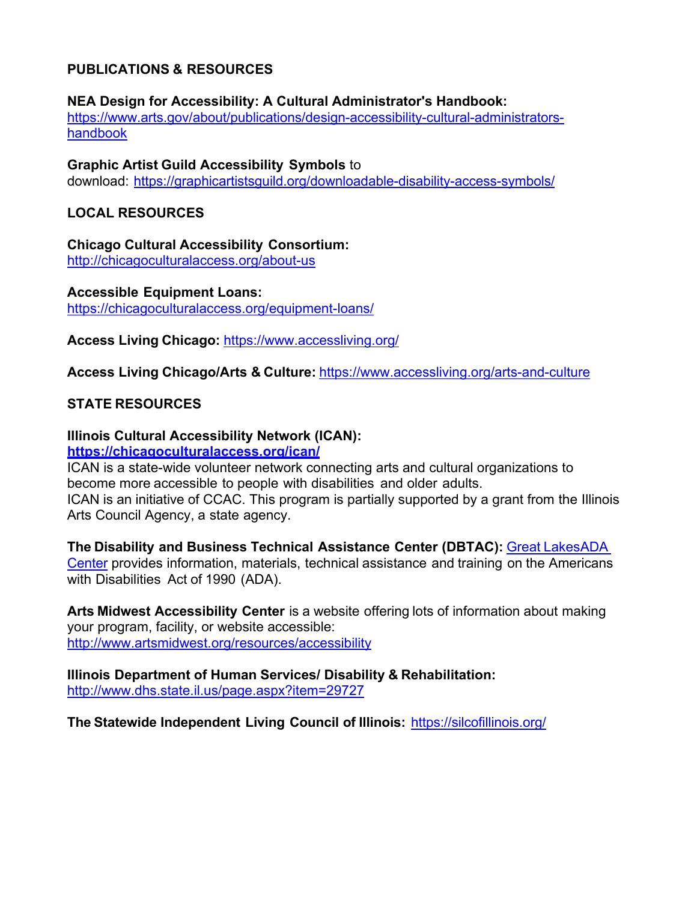## **PUBLICATIONS & RESOURCES**

**NEA Design for Accessibility: A Cultural Administrator's Handbook:** [https://www.arts.gov/about/publications/design-accessibility-cultural-administrators](https://www.arts.gov/about/publications/design-accessibility-cultural-administrators-handbook)[handbook](https://www.arts.gov/about/publications/design-accessibility-cultural-administrators-handbook)

**Graphic Artist Guild Accessibility Symbols** to download: <https://graphicartistsguild.org/downloadable-disability-access-symbols/>

# **LOCAL RESOURCES**

**Chicago Cultural Accessibility Consortium:** <http://chicagoculturalaccess.org/about-us>

**Accessible Equipment Loans:** <https://chicagoculturalaccess.org/equipment-loans/>

**Access Living Chicago:** <https://www.accessliving.org/>

**Access Living Chicago/Arts & Culture:** <https://www.accessliving.org/arts-and-culture>

## **STATE RESOURCES**

## **Illinois Cultural Accessibility Network (ICAN):**

### **<https://chicagoculturalaccess.org/ican/>**

ICAN is a state-wide volunteer network connecting arts and cultural organizations to become more accessible to people with disabilities and older adults. ICAN is an initiative of CCAC. This program is partially supported by a grant from the Illinois Arts Council Agency, a state agency.

**The Disability and Business Technical Assistance Center (DBTAC):** Great [LakesADA](http://www.adagreatlakes.org/) [Center](http://www.adagreatlakes.org/) provides information, materials, technical assistance and training on the Americans with Disabilities Act of 1990 (ADA).

**Arts Midwest Accessibility Center** is a website offering lots of information about making your program, facility, or website accessible: <http://www.artsmidwest.org/resources/accessibility>

**Illinois Department of Human Services/ Disability & Rehabilitation:** <http://www.dhs.state.il.us/page.aspx?item=29727>

**The Statewide Independent Living Council of Illinois:** <https://silcofillinois.org/>